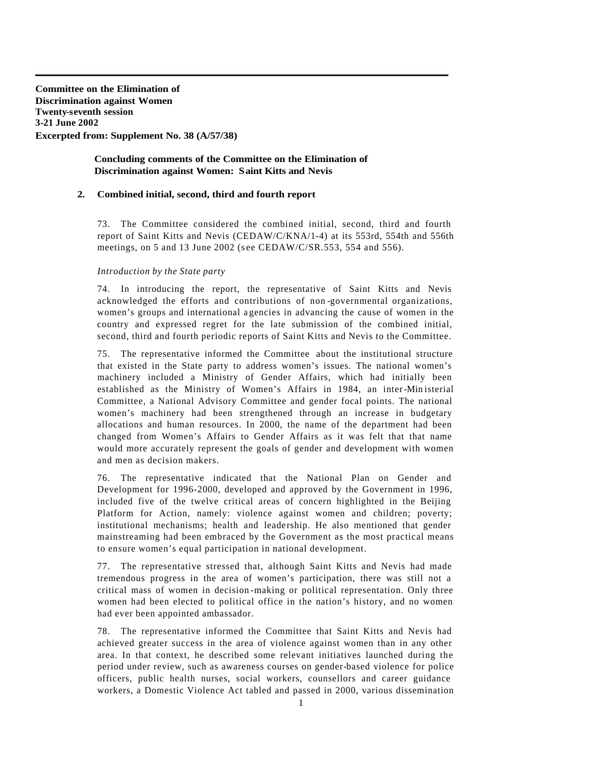**Committee on the Elimination of Discrimination against Women Twenty-seventh session 3-21 June 2002 Excerpted from: Supplement No. 38 (A/57/38)** 

## **Concluding comments of the Committee on the Elimination of Discrimination against Women: Saint Kitts and Nevis**

## **2. Combined initial, second, third and fourth report**

73. The Committee considered the combined initial, second, third and fourth report of Saint Kitts and Nevis (CEDAW/C/KNA/1-4) at its 553rd, 554th and 556th meetings, on 5 and 13 June 2002 (see CEDAW/C/SR.553, 554 and 556).

## *Introduction by the State party*

74. In introducing the report, the representative of Saint Kitts and Nevis acknowledged the efforts and contributions of non -governmental organizations, women's groups and international a gencies in advancing the cause of women in the country and expressed regret for the late submission of the combined initial, second, third and fourth periodic reports of Saint Kitts and Nevis to the Committee.

75. The representative informed the Committee about the institutional structure that existed in the State party to address women's issues. The national women's machinery included a Ministry of Gender Affairs, which had initially been established as the Ministry of Women's Affairs in 1984, an inter-Min isterial Committee, a National Advisory Committee and gender focal points. The national women's machinery had been strengthened through an increase in budgetary allocations and human resources. In 2000, the name of the department had been changed from Women's Affairs to Gender Affairs as it was felt that that name would more accurately represent the goals of gender and development with women and men as decision makers.

76. The representative indicated that the National Plan on Gender and Development for 1996-2000, developed and approved by the Government in 1996, included five of the twelve critical areas of concern highlighted in the Beijing Platform for Action, namely: violence against women and children; poverty; institutional mechanisms; health and leadership. He also mentioned that gender mainstreaming had been embraced by the Government as the most practical means to ensure women's equal participation in national development.

77. The representative stressed that, although Saint Kitts and Nevis had made tremendous progress in the area of women's participation, there was still not a critical mass of women in decision -making or political representation. Only three women had been elected to political office in the nation's history, and no women had ever been appointed ambassador.

78. The representative informed the Committee that Saint Kitts and Nevis had achieved greater success in the area of violence against women than in any other area. In that context, he described some relevant initiatives launched during the period under review, such as awareness courses on gender-based violence for police officers, public health nurses, social workers, counsellors and career guidance workers, a Domestic Violence Act tabled and passed in 2000, various dissemination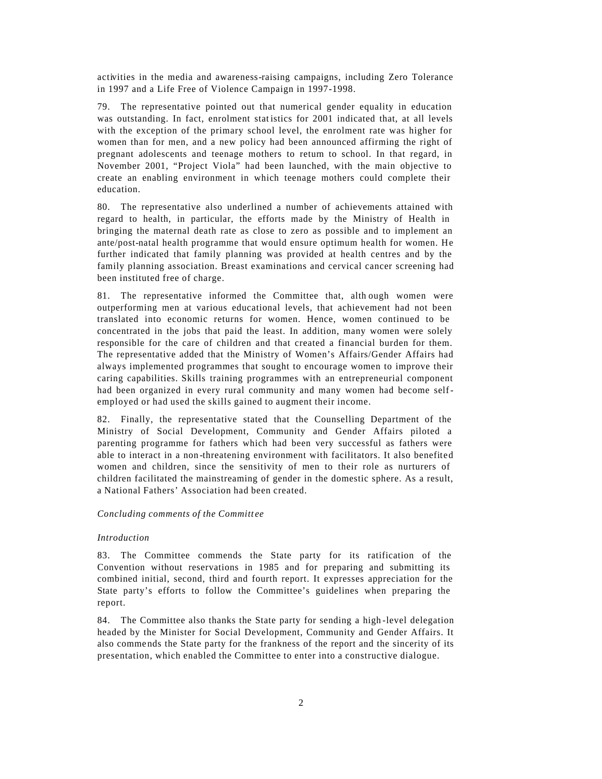activities in the media and awareness-raising campaigns, including Zero Tolerance in 1997 and a Life Free of Violence Campaign in 1997-1998.

79. The representative pointed out that numerical gender equality in education was outstanding. In fact, enrolment statistics for 2001 indicated that, at all levels with the exception of the primary school level, the enrolment rate was higher for women than for men, and a new policy had been announced affirming the right of pregnant adolescents and teenage mothers to return to school. In that regard, in November 2001, "Project Viola" had been launched, with the main objective to create an enabling environment in which teenage mothers could complete their education.

80. The representative also underlined a number of achievements attained with regard to health, in particular, the efforts made by the Ministry of Health in bringing the maternal death rate as close to zero as possible and to implement an ante/post-natal health programme that would ensure optimum health for women. He further indicated that family planning was provided at health centres and by the family planning association. Breast examinations and cervical cancer screening had been instituted free of charge.

81. The representative informed the Committee that, alth ough women were outperforming men at various educational levels, that achievement had not been translated into economic returns for women. Hence, women continued to be concentrated in the jobs that paid the least. In addition, many women were solely responsible for the care of children and that created a financial burden for them. The representative added that the Ministry of Women's Affairs/Gender Affairs had always implemented programmes that sought to encourage women to improve their caring capabilities. Skills training programmes with an entrepreneurial component had been organized in every rural community and many women had become selfemployed or had used the skills gained to augment their income.

82. Finally, the representative stated that the Counselling Department of the Ministry of Social Development, Community and Gender Affairs piloted a parenting programme for fathers which had been very successful as fathers were able to interact in a non -threatening environment with facilitators. It also benefited women and children, since the sensitivity of men to their role as nurturers of children facilitated the mainstreaming of gender in the domestic sphere. As a result, a National Fathers' Association had been created.

## *Concluding comments of the Committ ee*

#### *Introduction*

83. The Committee commends the State party for its ratification of the Convention without reservations in 1985 and for preparing and submitting its combined initial, second, third and fourth report. It expresses appreciation for the State party's efforts to follow the Committee's guidelines when preparing the report.

84. The Committee also thanks the State party for sending a high -level delegation headed by the Minister for Social Development, Community and Gender Affairs. It also comme nds the State party for the frankness of the report and the sincerity of its presentation, which enabled the Committee to enter into a constructive dialogue.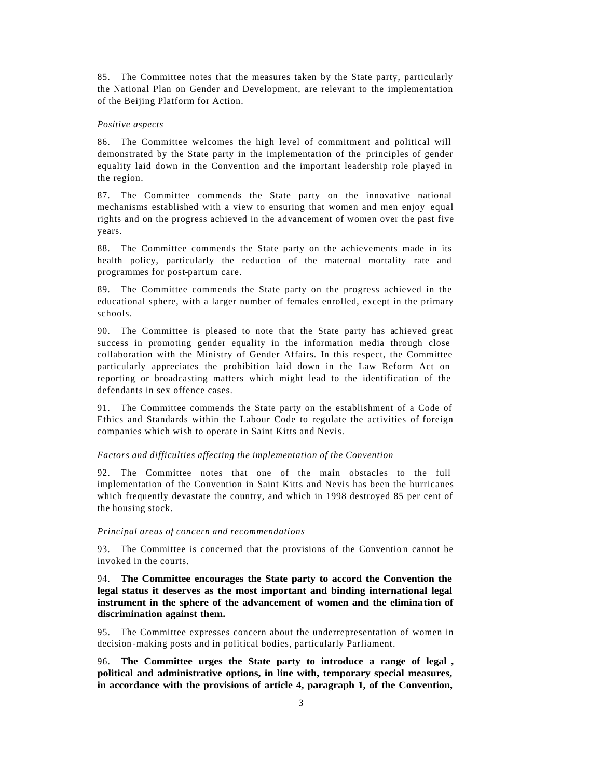85. The Committee notes that the measures taken by the State party, particularly the National Plan on Gender and Development, are relevant to the implementation of the Beijing Platform for Action.

### *Positive aspects*

86. The Committee welcomes the high level of commitment and political will demonstrated by the State party in the implementation of the principles of gender equality laid down in the Convention and the important leadership role played in the region.

87. The Committee commends the State party on the innovative national mechanisms established with a view to ensuring that women and men enjoy equal rights and on the progress achieved in the advancement of women over the past five years.

88. The Committee commends the State party on the achievements made in its health policy, particularly the reduction of the maternal mortality rate and programmes for post-partum care.

89. The Committee commends the State party on the progress achieved in the educational sphere, with a larger number of females enrolled, except in the primary schools.

90. The Committee is pleased to note that the State party has achieved great success in promoting gender equality in the information media through close collaboration with the Ministry of Gender Affairs. In this respect, the Committee particularly appreciates the prohibition laid down in the Law Reform Act on reporting or broadcasting matters which might lead to the identification of the defendants in sex offence cases.

91. The Committee commends the State party on the establishment of a Code of Ethics and Standards within the Labour Code to regulate the activities of foreign companies which wish to operate in Saint Kitts and Nevis.

## *Factors and difficulties affecting the implementation of the Convention*

92. The Committee notes that one of the main obstacles to the full implementation of the Convention in Saint Kitts and Nevis has been the hurricanes which frequently devastate the country, and which in 1998 destroyed 85 per cent of the housing stock.

#### *Principal areas of concern and recommendations*

93. The Committee is concerned that the provisions of the Convention cannot be invoked in the courts.

94. **The Committee encourages the State party to accord the Convention the legal status it deserves as the most important and binding international legal instrument in the sphere of the advancement of women and the elimination of discrimination against them.**

95. The Committee expresses concern about the underrepresentation of women in decision -making posts and in political bodies, particularly Parliament.

96. **The Committee urges the State party to introduce a range of legal , political and administrative options, in line with, temporary special measures, in accordance with the provisions of article 4, paragraph 1, of the Convention,**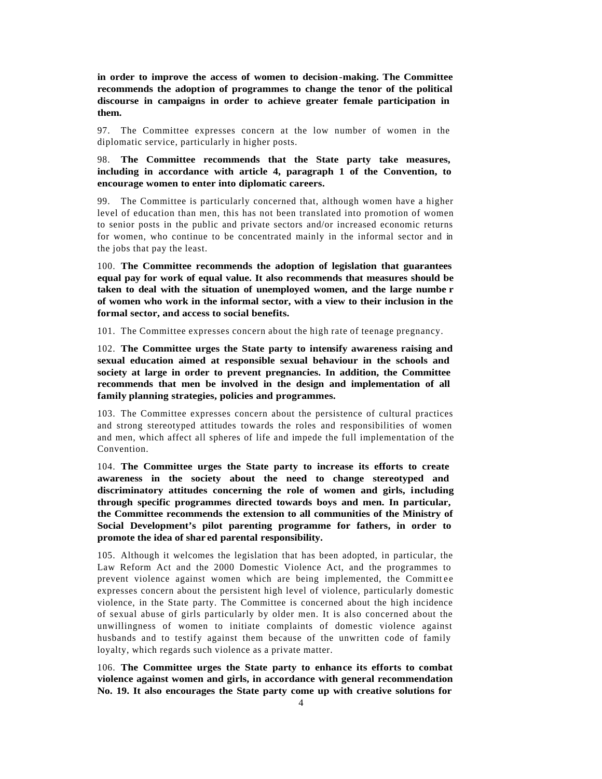**in order to improve the access of women to decision-making. The Committee recommends the adoption of programmes to change the tenor of the political discourse in campaigns in order to achieve greater female participation in them.**

97. The Committee expresses concern at the low number of women in the diplomatic service, particularly in higher posts.

98. **The Committee recommends that the State party take measures, including in accordance with article 4, paragraph 1 of the Convention, to encourage women to enter into diplomatic careers.**

99. The Committee is particularly concerned that, although women have a higher level of education than men, this has not been translated into promotion of women to senior posts in the public and private sectors and/or increased economic returns for women, who continue to be concentrated mainly in the informal sector and in the jobs that pay the least.

100. **The Committee recommends the adoption of legislation that guarantees equal pay for work of equal value. It also recommends that measures should be taken to deal with the situation of unemployed women, and the large numbe r of women who work in the informal sector, with a view to their inclusion in the formal sector, and access to social benefits.**

101. The Committee expresses concern about the high rate of teenage pregnancy.

102. **The Committee urges the State party to intensify awareness raising and sexual education aimed at responsible sexual behaviour in the schools and society at large in order to prevent pregnancies. In addition, the Committee recommends that men be involved in the design and implementation of all family planning strategies, policies and programmes.**

103. The Committee expresses concern about the persistence of cultural practices and strong stereotyped attitudes towards the roles and responsibilities of women and men, which affect all spheres of life and impede the full implementation of the Convention.

104. **The Committee urges the State party to increase its efforts to create awareness in the society about the need to change stereotyped and discriminatory attitudes concerning the role of women and girls, including through specific programmes directed towards boys and men. In particular, the Committee recommends the extension to all communities of the Ministry of Social Development's pilot parenting programme for fathers, in order to promote the idea of shar ed parental responsibility.**

105. Although it welcomes the legislation that has been adopted, in particular, the Law Reform Act and the 2000 Domestic Violence Act, and the programmes to prevent violence against women which are being implemented, the Committ ee expresses concern about the persistent high level of violence, particularly domestic violence, in the State party. The Committee is concerned about the high incidence of sexual abuse of girls particularly by older men. It is also concerned about the unwillingness of women to initiate complaints of domestic violence against husbands and to testify against them because of the unwritten code of family loyalty, which regards such violence as a private matter.

106. **The Committee urges the State party to enhance its efforts to combat violence against women and girls, in accordance with general recommendation No. 19. It also encourages the State party come up with creative solutions for**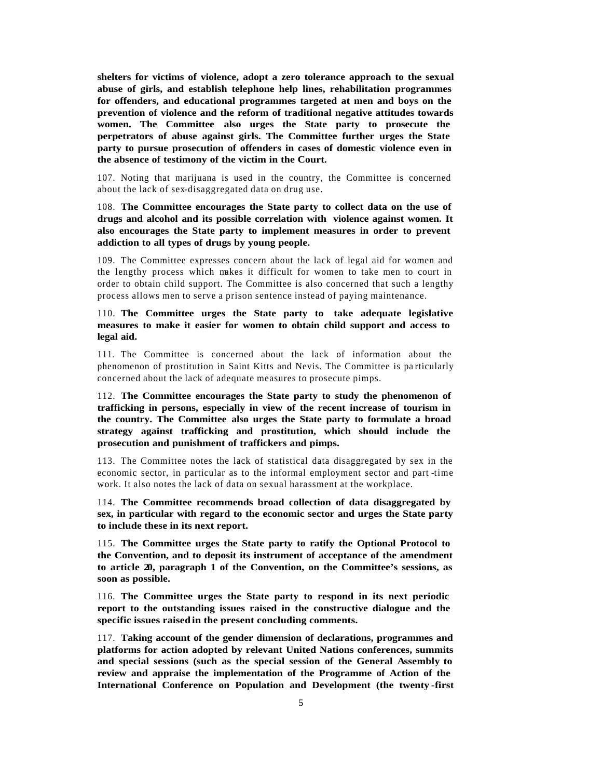**shelters for victims of violence, adopt a zero tolerance approach to the sexual abuse of girls, and establish telephone help lines, rehabilitation programmes for offenders, and educational programmes targeted at men and boys on the prevention of violence and the reform of traditional negative attitudes towards women. The Committee also urges the State party to prosecute the perpetrators of abuse against girls. The Committee further urges the State party to pursue prosecution of offenders in cases of domestic violence even in the absence of testimony of the victim in the Court.**

107. Noting that marijuana is used in the country, the Committee is concerned about the lack of sex-disaggregated data on drug use.

108. **The Committee encourages the State party to collect data on the use of drugs and alcohol and its possible correlation with violence against women. It also encourages the State party to implement measures in order to prevent addiction to all types of drugs by young people.**

109. The Committee expresses concern about the lack of legal aid for women and the lengthy process which makes it difficult for women to take men to court in order to obtain child support. The Committee is also concerned that such a lengthy process allows men to serve a prison sentence instead of paying maintenance.

# 110. **The Committee urges the State party to take adequate legislative measures to make it easier for women to obtain child support and access to legal aid.**

111. The Committee is concerned about the lack of information about the phenomenon of prostitution in Saint Kitts and Nevis. The Committee is pa rticularly concerned about the lack of adequate measures to prosecute pimps.

112. **The Committee encourages the State party to study the phenomenon of trafficking in persons, especially in view of the recent increase of tourism in the country. The Committee also urges the State party to formulate a broad strategy against trafficking and prostitution, which should include the prosecution and punishment of traffickers and pimps.**

113. The Committee notes the lack of statistical data disaggregated by sex in the economic sector, in particular as to the informal employment sector and part -time work. It also notes the lack of data on sexual harassment at the workplace.

114. **The Committee recommends broad collection of data disaggregated by sex, in particular with regard to the economic sector and urges the State party to include these in its next report.**

115. **The Committee urges the State party to ratify the Optional Protocol to the Convention, and to deposit its instrument of acceptance of the amendment to article 20, paragraph 1 of the Convention, on the Committee's sessions, as soon as possible.**

116. **The Committee urges the State party to respond in its next periodic report to the outstanding issues raised in the constructive dialogue and the specific issues raised in the present concluding comments.**

117. **Taking account of the gender dimension of declarations, programmes and platforms for action adopted by relevant United Nations conferences, summits and special sessions (such as the special session of the General Assembly to review and appraise the implementation of the Programme of Action of the International Conference on Population and Development (the twenty -first**